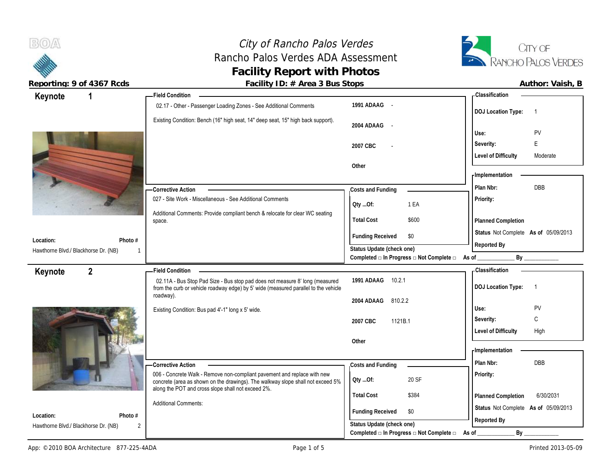# City of Rancho Palos Verdes<br> **ho Palos Verdes ADA Assessment**<br> **Exancho Palos Verdes ADA Assessment** Rancho Palos Verdes ADA Assessment **Facility Report with Photos**



 $B(0)$ 

**Reporting: 9 of 4367 Rcds Facility ID: # Area 3 Bus Stops** 

| Author: Vaish, B |  |
|------------------|--|
|                  |  |

| 1<br>Keynote                                         | - Field Condition                                                                                                                     |                                                                       | - Classification                                           |
|------------------------------------------------------|---------------------------------------------------------------------------------------------------------------------------------------|-----------------------------------------------------------------------|------------------------------------------------------------|
|                                                      | 02.17 - Other - Passenger Loading Zones - See Additional Comments                                                                     | 1991 ADAAG -                                                          | <b>DOJ Location Type:</b><br>$\overline{1}$                |
|                                                      | Existing Condition: Bench (16" high seat, 14" deep seat, 15" high back support).                                                      | 2004 ADAAG<br>$\sim$                                                  | PV<br>Use:                                                 |
|                                                      |                                                                                                                                       | 2007 CBC                                                              | Е<br>Severity:                                             |
|                                                      |                                                                                                                                       |                                                                       | <b>Level of Difficulty</b><br>Moderate                     |
|                                                      |                                                                                                                                       | Other                                                                 |                                                            |
|                                                      |                                                                                                                                       |                                                                       | <b>Implementation</b>                                      |
|                                                      | -Corrective Action                                                                                                                    | Costs and Funding                                                     | Plan Nbr:<br><b>DBB</b>                                    |
|                                                      | 027 - Site Work - Miscellaneous - See Additional Comments                                                                             | Oty Of:<br>1 EA                                                       | Priority:                                                  |
|                                                      | Additional Comments: Provide compliant bench & relocate for clear WC seating                                                          | <b>Total Cost</b><br>\$600                                            |                                                            |
|                                                      | space.                                                                                                                                |                                                                       | Planned Completion<br>Status Not Complete As of 05/09/2013 |
| Location:<br>Photo #                                 |                                                                                                                                       | <b>Funding Received</b><br>\$0                                        | Reported By                                                |
| Hawthorne Blvd./ Blackhorse Dr. (NB)<br>$\mathbf{1}$ |                                                                                                                                       | Status Update (check one)<br>Completed □ In Progress □ Not Complete □ | By<br>As of                                                |
|                                                      |                                                                                                                                       |                                                                       | <b>Classification</b>                                      |
| $\overline{2}$<br>Keynote                            | <b>Field Condition</b><br>02.11A - Bus Stop Pad Size - Bus stop pad does not measure 8' long (measured                                | 1991 ADAAG 10.2.1                                                     |                                                            |
|                                                      | from the curb or vehicle roadway edge) by 5' wide (measured parallel to the vehicle                                                   |                                                                       | <b>DOJ Location Type:</b><br>$\overline{1}$                |
|                                                      | roadway).                                                                                                                             | 2004 ADAAG<br>810.2.2                                                 |                                                            |
|                                                      |                                                                                                                                       |                                                                       |                                                            |
|                                                      | Existing Condition: Bus pad 4'-1" long x 5' wide.                                                                                     |                                                                       | Use:<br>PV                                                 |
|                                                      |                                                                                                                                       | 2007 CBC<br>1121B.1                                                   | C<br>Severity:                                             |
|                                                      |                                                                                                                                       | Other                                                                 | <b>Level of Difficulty</b><br>High                         |
|                                                      |                                                                                                                                       |                                                                       | - Implementation                                           |
|                                                      | - Corrective Action                                                                                                                   | Costs and Funding                                                     | Plan Nbr:<br><b>DBB</b>                                    |
|                                                      | 006 - Concrete Walk - Remove non-compliant pavement and replace with new                                                              |                                                                       | Priority:                                                  |
|                                                      | concrete (area as shown on the drawings). The walkway slope shall not exceed 5%<br>along the POT and cross slope shall not exceed 2%. | 20 SF<br>QtyOf:                                                       |                                                            |
|                                                      | <b>Additional Comments:</b>                                                                                                           | <b>Total Cost</b><br>\$384                                            | 6/30/2031<br>Planned Completion                            |
| Location:<br>Photo #                                 |                                                                                                                                       | <b>Funding Received</b><br>\$0                                        | Status Not Complete As of 05/09/2013                       |
| Hawthorne Blvd./ Blackhorse Dr. (NB)<br>2            |                                                                                                                                       | Status Update (check one)<br>Completed □ In Progress □ Not Complete □ | Reported By<br>$By_$<br>As of                              |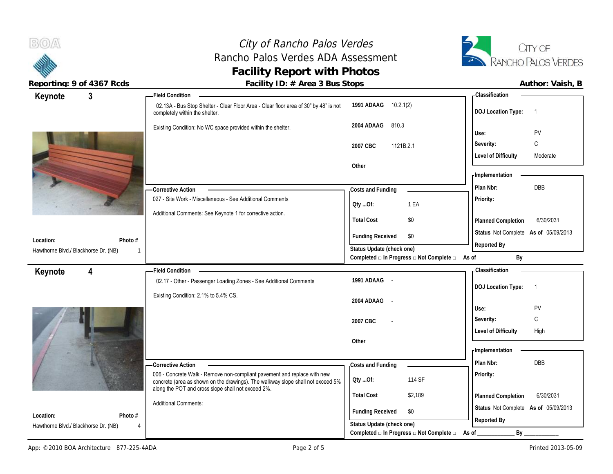$B(0)$ 

## City of Rancho Palos Verdes Rancho Palos Verdes ADA Assessment **Facility Report with Photos**



**Reporting: 9 of 4367 Rcds Facility ID: # Area 3 Bus Stops Author: Vaish, B**

| $\mathbf{3}$<br>Keynote              |         | - Field Condition                                                                                                                                           |                                                             | <b>Classification</b>                               |
|--------------------------------------|---------|-------------------------------------------------------------------------------------------------------------------------------------------------------------|-------------------------------------------------------------|-----------------------------------------------------|
|                                      |         | 02.13A - Bus Stop Shelter - Clear Floor Area - Clear floor area of 30" by 48" is not<br>completely within the shelter.                                      | 1991 ADAAG 10.2.1(2)                                        | <b>DOJ Location Type:</b><br>$\overline{1}$         |
|                                      |         | Existing Condition: No WC space provided within the shelter.                                                                                                | 2004 ADAAG<br>810.3                                         | PV<br>Use:                                          |
|                                      |         |                                                                                                                                                             | 2007 CBC<br>1121B.2.1                                       | С<br>Severity:                                      |
|                                      |         |                                                                                                                                                             |                                                             | <b>Level of Difficulty</b><br>Moderate              |
|                                      |         |                                                                                                                                                             | Other                                                       |                                                     |
|                                      |         |                                                                                                                                                             |                                                             | <b>Implementation</b>                               |
|                                      |         | - Corrective Action                                                                                                                                         | Costs and Funding                                           | DBB<br>Plan Nbr:                                    |
|                                      |         | 027 - Site Work - Miscellaneous - See Additional Comments                                                                                                   | 1 EA<br>Qty Of:                                             | <b>Priority:</b>                                    |
|                                      |         | Additional Comments: See Keynote 1 for corrective action.                                                                                                   |                                                             |                                                     |
|                                      |         |                                                                                                                                                             | \$0<br><b>Total Cost</b>                                    | 6/30/2031<br>Planned Completion                     |
| Location:                            | Photo # |                                                                                                                                                             | <b>Funding Received</b><br>\$0                              | Status Not Complete As of 05/09/2013                |
| Hawthorne Blvd./ Blackhorse Dr. (NB) | 1       |                                                                                                                                                             | Status Update (check one)                                   | Reported By                                         |
|                                      |         |                                                                                                                                                             | Completed □ In Progress □ Not Complete □ As of _            |                                                     |
| $\overline{4}$<br>Keynote            |         | - Field Condition                                                                                                                                           |                                                             | <b>Classification</b>                               |
|                                      |         | 02.17 - Other - Passenger Loading Zones - See Additional Comments                                                                                           | 1991 ADAAG -                                                | <b>DOJ</b> Location Type:<br>$\overline{1}$         |
|                                      |         | Existing Condition: 2.1% to 5.4% CS.                                                                                                                        |                                                             |                                                     |
|                                      |         |                                                                                                                                                             | 2004 ADAAG -                                                | PV<br>Use:                                          |
|                                      |         |                                                                                                                                                             | 2007 CBC                                                    | C<br>Severity:                                      |
|                                      |         |                                                                                                                                                             |                                                             | <b>Level of Difficulty</b><br>High                  |
|                                      |         |                                                                                                                                                             | Other                                                       |                                                     |
|                                      |         |                                                                                                                                                             |                                                             |                                                     |
|                                      |         |                                                                                                                                                             |                                                             | - Implementation                                    |
|                                      |         | - Corrective Action                                                                                                                                         | Costs and Funding                                           | Plan Nbr:<br><b>DBB</b>                             |
|                                      |         | 006 - Concrete Walk - Remove non-compliant pavement and replace with new<br>concrete (area as shown on the drawings). The walkway slope shall not exceed 5% | 114 SF<br>Qty Of:                                           | <b>Priority:</b>                                    |
|                                      |         | along the POT and cross slope shall not exceed 2%.                                                                                                          | <b>Total Cost</b><br>\$2,189                                | 6/30/2031                                           |
|                                      |         | <b>Additional Comments:</b>                                                                                                                                 |                                                             | Planned Completion                                  |
| Location:                            | Photo # |                                                                                                                                                             | <b>Funding Received</b><br>\$0<br>Status Update (check one) | Status Not Complete As of 05/09/2013<br>Reported By |

Completed **□ In Progress □ Not Complete □** As of \_\_\_\_\_\_\_\_\_\_\_\_\_\_\_\_\_\_\_\_\_\_\_\_\_\_\_\_\_\_\_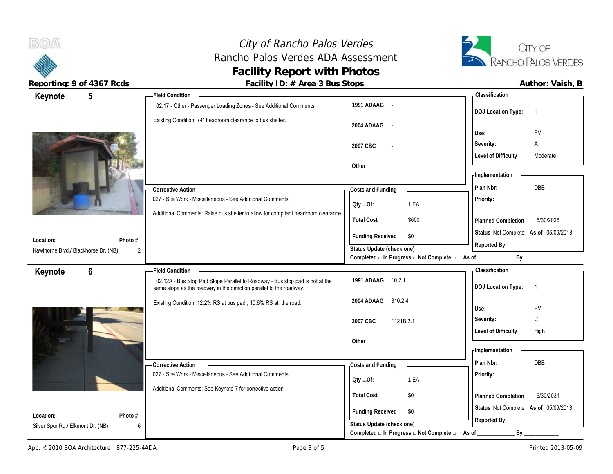## City of Rancho Palos Verdes Rancho Palos Verdes ADA Assessment **Facility Report with Photos**



 $B(0)$ 

Reporting: 9 of 4367 Rcds **Facility ID: # Area 3 Bus Stops Facility ID: # Area 3 Bus Stops Author: Vaish, B** 

| Keynote                              | $5\phantom{.0}$ | - Field Condition                                                                 |                                                                               | - Classification                            |
|--------------------------------------|-----------------|-----------------------------------------------------------------------------------|-------------------------------------------------------------------------------|---------------------------------------------|
|                                      |                 | 02.17 - Other - Passenger Loading Zones - See Additional Comments                 | 1991 ADAAG -                                                                  | <b>DOJ Location Type:</b><br>$\overline{1}$ |
|                                      |                 | Existing Condition: 74" headroom clearance to bus shelter.                        | 2004 ADAAG -                                                                  | PV<br>Use:                                  |
|                                      |                 |                                                                                   |                                                                               | Severity:<br>Α                              |
|                                      |                 |                                                                                   | 2007 CBC                                                                      | <b>Level of Difficulty</b><br>Moderate      |
|                                      |                 |                                                                                   | Other                                                                         |                                             |
|                                      |                 |                                                                                   |                                                                               | - Implementation                            |
|                                      |                 | Corrective Action                                                                 | Costs and Funding                                                             | <b>DBB</b><br>Plan Nbr:                     |
|                                      |                 | 027 - Site Work - Miscellaneous - See Additional Comments                         |                                                                               | Priority:                                   |
|                                      |                 |                                                                                   | 1 EA<br>Oty Of:                                                               |                                             |
|                                      |                 | Additional Comments: Raise bus shelter to allow for compliant headroom clearance. | <b>Total Cost</b><br>\$600                                                    | 6/30/2026<br>Planned Completion             |
|                                      |                 |                                                                                   |                                                                               | Status Not Complete As of 05/09/2013        |
| Location:                            | Photo #         |                                                                                   | <b>Funding Received</b><br>\$0                                                | Reported By                                 |
| Hawthorne Blvd./ Blackhorse Dr. (NB) | 2               |                                                                                   | Status Update (check one)<br>Completed □ In Progress □ Not Complete □ As of _ | $By$ <sub>——</sub>                          |
|                                      |                 | <b>Field Condition</b>                                                            |                                                                               | - Classification                            |
| Keynote                              | 6               | 02.12A - Bus Stop Pad Slope Parallel to Roadway - Bus stop pad is not at the      | 1991 ADAAG<br>10.2.1                                                          |                                             |
|                                      |                 | same slope as the roadway in the direction parallel to the roadway.               |                                                                               | <b>DOJ Location Type:</b><br>$\overline{1}$ |
|                                      |                 | Existing Condition: 12.2% RS at bus pad, 10.6% RS at the road.                    | 810.2.4<br>2004 ADAAG                                                         |                                             |
|                                      |                 |                                                                                   |                                                                               | PV<br>Use:                                  |
|                                      |                 |                                                                                   | 2007 CBC<br>1121B.2.1                                                         | Severity:<br>C                              |
|                                      |                 |                                                                                   |                                                                               | <b>Level of Difficulty</b><br>High          |
|                                      |                 |                                                                                   | Other                                                                         |                                             |
|                                      |                 |                                                                                   |                                                                               | - Implementation                            |
|                                      |                 | -Corrective Action                                                                | Costs and Funding                                                             | <b>DBB</b><br>Plan Nbr:                     |
|                                      |                 | 027 - Site Work - Miscellaneous - See Additional Comments                         | 1 EA<br>Qty Of:                                                               | Priority:                                   |
|                                      |                 | Additional Comments: See Keynote 7 for corrective action.                         |                                                                               |                                             |
|                                      |                 |                                                                                   | <b>Total Cost</b><br>\$0                                                      | 6/30/2031<br>Planned Completion             |
| Location:                            | Photo #         |                                                                                   | <b>Funding Received</b><br>\$0                                                | Status Not Complete As of 05/09/2013        |
| Silver Spur Rd./ Elkmont Dr. (NB)    | 6               |                                                                                   | Status Update (check one)                                                     | Reported By                                 |
|                                      |                 |                                                                                   | Completed □ In Progress □ Not Complete □                                      | $By$ <sub>--</sub><br>As of                 |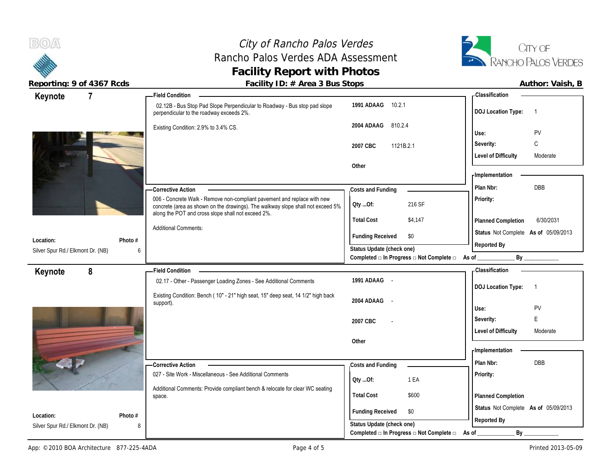BOA

## City of Rancho Palos Verdes Rancho Palos Verdes ADA Assessment **Facility Report with Photos**



**Reporting: 9 of 4367 Rcds Facility ID: # Area 3 Bus Stops Author: Vaish, B**

| Keynote                           | $\overline{7}$ |         | Field Condition -                                                                                                                                                                                                 |                           |                                                                 | <b>Classification</b>                |                            |
|-----------------------------------|----------------|---------|-------------------------------------------------------------------------------------------------------------------------------------------------------------------------------------------------------------------|---------------------------|-----------------------------------------------------------------|--------------------------------------|----------------------------|
|                                   |                |         | 02.12B - Bus Stop Pad Slope Perpendicular to Roadway - Bus stop pad slope<br>perpendicular to the roadway exceeds 2%.                                                                                             | 1991 ADAAG 10.2.1         |                                                                 | <b>DOJ Location Type:</b>            | $\overline{\phantom{0}}$ 1 |
|                                   |                |         | Existing Condition: 2.9% to 3.4% CS.                                                                                                                                                                              | 2004 ADAAG<br>810.2.4     |                                                                 |                                      |                            |
|                                   |                |         |                                                                                                                                                                                                                   |                           |                                                                 | Use:                                 | PV                         |
|                                   |                |         |                                                                                                                                                                                                                   | 2007 CBC<br>1121B.2.1     |                                                                 | Severity:                            | C                          |
|                                   |                |         |                                                                                                                                                                                                                   |                           |                                                                 | <b>Level of Difficulty</b>           | Moderate                   |
|                                   |                |         |                                                                                                                                                                                                                   | Other                     |                                                                 | - Implementation                     |                            |
|                                   |                |         |                                                                                                                                                                                                                   |                           |                                                                 |                                      |                            |
|                                   |                |         | - Corrective Action                                                                                                                                                                                               | Costs and Funding         |                                                                 | Plan Nbr:                            | DBB                        |
|                                   |                |         | 006 - Concrete Walk - Remove non-compliant pavement and replace with new<br>concrete (area as shown on the drawings). The walkway slope shall not exceed 5%<br>along the POT and cross slope shall not exceed 2%. | Oty Of:                   | 216 SF                                                          | Priority:                            |                            |
|                                   |                |         |                                                                                                                                                                                                                   | <b>Total Cost</b>         | \$4,147                                                         | Planned Completion                   | 6/30/2031                  |
| Location:                         |                | Photo # | <b>Additional Comments:</b>                                                                                                                                                                                       | <b>Funding Received</b>   | \$0                                                             | Status Not Complete As of 05/09/2013 |                            |
| Silver Spur Rd./ Elkmont Dr. (NB) |                | 6       |                                                                                                                                                                                                                   | Status Update (check one) |                                                                 | Reported By                          |                            |
|                                   |                |         |                                                                                                                                                                                                                   |                           | Completed $\Box$ In Progress $\Box$ Not Complete $\Box$ As of _ |                                      | By                         |
| Keynote                           | 8              |         | <b>Field Condition</b>                                                                                                                                                                                            |                           |                                                                 | <b>Classification</b>                |                            |
|                                   |                |         | 02.17 - Other - Passenger Loading Zones - See Additional Comments                                                                                                                                                 | 1991 ADAAG -              |                                                                 | <b>DOJ Location Type:</b>            | $\overline{1}$             |
|                                   |                |         |                                                                                                                                                                                                                   |                           |                                                                 |                                      |                            |
|                                   |                |         | Existing Condition: Bench (10" - 21" high seat, 15" deep seat, 14 1/2" high back                                                                                                                                  | 2004 ADAAG -              |                                                                 |                                      |                            |
|                                   |                |         | support).                                                                                                                                                                                                         |                           |                                                                 | Use:                                 | PV                         |
|                                   |                |         |                                                                                                                                                                                                                   | 2007 CBC                  |                                                                 | Severity:                            | E                          |
|                                   |                |         |                                                                                                                                                                                                                   |                           |                                                                 | <b>Level of Difficulty</b>           | Moderate                   |
|                                   |                |         |                                                                                                                                                                                                                   | Other                     |                                                                 |                                      |                            |
|                                   |                |         |                                                                                                                                                                                                                   |                           |                                                                 | - Implementation                     |                            |
|                                   |                |         | <b>Corrective Action</b>                                                                                                                                                                                          | Costs and Funding         |                                                                 | Plan Nbr:                            | <b>DBB</b>                 |
|                                   |                |         | 027 - Site Work - Miscellaneous - See Additional Comments                                                                                                                                                         | QtyOf:                    | 1 EA                                                            | Priority:                            |                            |
|                                   |                |         | Additional Comments: Provide compliant bench & relocate for clear WC seating                                                                                                                                      |                           |                                                                 |                                      |                            |
|                                   |                |         | space.                                                                                                                                                                                                            | <b>Total Cost</b>         | \$600                                                           | Planned Completion                   |                            |
| Location:                         |                | Photo # |                                                                                                                                                                                                                   | <b>Funding Received</b>   | \$0                                                             | Status Not Complete As of 05/09/2013 |                            |
| Silver Spur Rd./ Elkmont Dr. (NB) |                | 8       |                                                                                                                                                                                                                   | Status Update (check one) | Completed $\Box$ In Progress $\Box$ Not Complete $\Box$         | Reported By<br>By                    |                            |